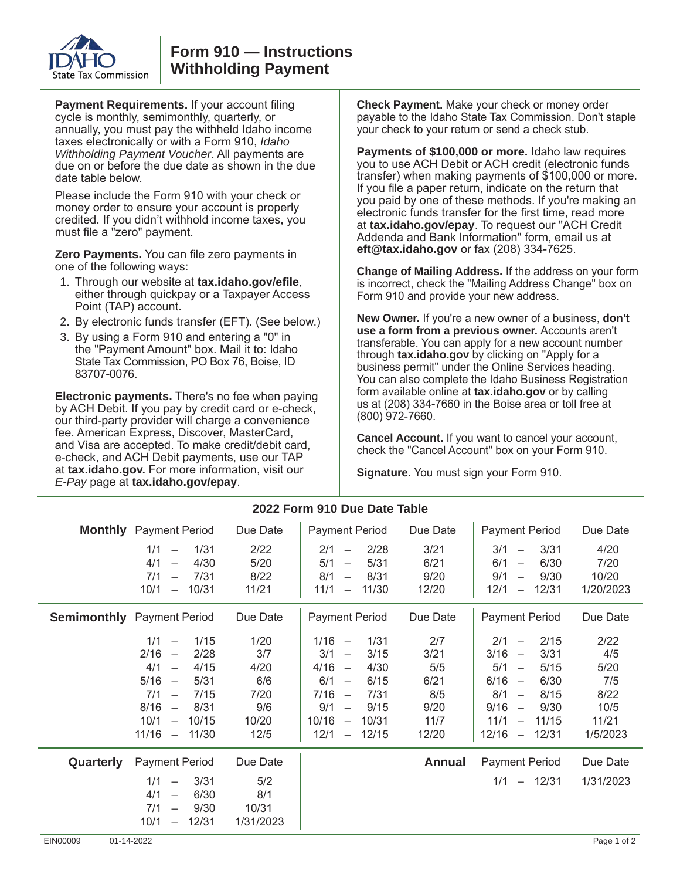

**Payment Requirements.** If your account filing cycle is monthly, semimonthly, quarterly, or annually, you must pay the withheld Idaho income taxes electronically or with a Form 910, *Idaho Withholding Payment Voucher*. All payments are due on or before the due date as shown in the due date table below.

Please include the Form 910 with your check or money order to ensure your account is properly credited. If you didn't withhold income taxes, you must file a "zero" payment.

**Zero Payments.** You can file zero payments in one of the following ways:

- 1. Through our website at **tax.idaho.gov/efile**, either through quickpay or a Taxpayer Access Point (TAP) account.
- 2. By electronic funds transfer (EFT). (See below.)
- 3. By using a Form 910 and entering a "0" in the "Payment Amount" box. Mail it to: Idaho State Tax Commission, PO Box 76, Boise, ID 83707-0076.

**Electronic payments.** There's no fee when paying by ACH Debit. If you pay by credit card or e-check, our third-party provider will charge a convenience fee. American Express, Discover, MasterCard, and Visa are accepted. To make credit/debit card, e-check, and ACH Debit payments, use our TAP at **tax.idaho.gov.** For more information, visit our *E-Pay* page at **tax.idaho.gov/epay**.

**Check Payment.** Make your check or money order payable to the Idaho State Tax Commission. Don't staple your check to your return or send a check stub.

**Payments of \$100,000 or more.** Idaho law requires you to use ACH Debit or ACH credit (electronic funds transfer) when making payments of \$100,000 or more. If you file a paper return, indicate on the return that you paid by one of these methods. If you're making an electronic funds transfer for the first time, read more at **tax.idaho.gov/epay**. To request our "ACH Credit Addenda and Bank Information" form, email us at **eft@tax.idaho.gov** or fax (208) 334-7625.

**Change of Mailing Address.** If the address on your form is incorrect, check the "Mailing Address Change" box on Form 910 and provide your new address.

**New Owner.** If you're a new owner of a business, **don't use a form from a previous owner.** Accounts aren't transferable. You can apply for a new account number through **tax.idaho.gov** by clicking on "Apply for a business permit" under the Online Services heading. You can also complete the Idaho Business Registration form available online at **tax.idaho.gov** or by calling us at (208) 334-7660 in the Boise area or toll free at (800) 972-7660.

**Cancel Account.** If you want to cancel your account, check the "Cancel Account" box on your Form 910.

**Signature.** You must sign your Form 910.

|           | <b>Monthly</b> Payment Period<br>1/1<br>1/31<br>$\overline{\phantom{m}}$<br>4/1<br>4/30<br>$\overline{\phantom{0}}$<br>7/1<br>7/31<br>$\overline{\phantom{m}}$<br>10/1<br>10/31<br>$\overline{\phantom{m}}$                                                                                                  | Due Date<br>2/22<br>5/20<br>8/22<br>11/21                  | <b>Payment Period</b><br>2/28<br>2/1<br>$\overline{\phantom{m}}$<br>5/31<br>5/1<br>$\overline{\phantom{m}}$<br>8/1<br>8/31<br>$\overline{\phantom{m}}$<br>11/1<br>11/30<br>$\overline{\phantom{m}}$                                                                                                                           | Due Date<br>3/21<br>6/21<br>9/20<br>12/20                  | <b>Payment Period</b><br>3/31<br>3/1<br>$\overline{\phantom{m}}$<br>6/30<br>6/1<br>$\overline{\phantom{m}}$<br>9/1<br>9/30<br>$\overline{\phantom{m}}$<br>12/1<br>12/31<br>$\qquad \qquad -$                                                                                                                                            | Due Date<br>4/20<br>7/20<br>10/20<br>1/20/2023                  |
|-----------|--------------------------------------------------------------------------------------------------------------------------------------------------------------------------------------------------------------------------------------------------------------------------------------------------------------|------------------------------------------------------------|-------------------------------------------------------------------------------------------------------------------------------------------------------------------------------------------------------------------------------------------------------------------------------------------------------------------------------|------------------------------------------------------------|-----------------------------------------------------------------------------------------------------------------------------------------------------------------------------------------------------------------------------------------------------------------------------------------------------------------------------------------|-----------------------------------------------------------------|
|           | <b>Semimonthly</b> Payment Period                                                                                                                                                                                                                                                                            | Due Date                                                   | <b>Payment Period</b>                                                                                                                                                                                                                                                                                                         | Due Date                                                   | <b>Payment Period</b>                                                                                                                                                                                                                                                                                                                   | Due Date                                                        |
|           | 1/15<br>1/1<br>$\overline{\phantom{0}}$<br>2/16<br>2/28<br>$\overline{\phantom{0}}$<br>4/1<br>4/15<br>$\overline{\phantom{a}}$<br>5/16<br>5/31<br>$\overline{\phantom{0}}$<br>7/1<br>7/15<br>$\overline{\phantom{a}}$<br>$8/16 -$<br>8/31<br>10/1<br>10/15<br>$\overline{\phantom{m}}$<br>$11/16 -$<br>11/30 | 1/20<br>3/7<br>4/20<br>6/6<br>7/20<br>9/6<br>10/20<br>12/5 | $1/16 -$<br>1/31<br>3/1<br>3/15<br>$\overline{\phantom{m}}$<br>4/16<br>4/30<br>$\overline{\phantom{m}}$<br>6/1<br>6/15<br>$\qquad \qquad -$<br>7/16<br>7/31<br>$\overline{\phantom{m}}$<br>9/1<br>9/15<br>$\overline{\phantom{m}}$<br>10/16<br>10/31<br>$\overline{\phantom{m}}$<br>12/1<br>12/15<br>$\overline{\phantom{m}}$ | 2/7<br>3/21<br>5/5<br>6/21<br>8/5<br>9/20<br>11/7<br>12/20 | 2/15<br>2/1<br>$\overline{\phantom{0}}$<br>3/16<br>3/31<br>$\qquad \qquad -$<br>5/1<br>5/15<br>$\qquad \qquad -$<br>6/16<br>6/30<br>$\qquad \qquad -$<br>8/1<br>8/15<br>$\overline{\phantom{0}}$<br>9/16<br>9/30<br>$\overline{\phantom{m}}$<br>11/1<br>11/15<br>$\overline{\phantom{0}}$<br>12/16<br>12/31<br>$\overline{\phantom{m}}$ | 2/22<br>4/5<br>5/20<br>7/5<br>8/22<br>10/5<br>11/21<br>1/5/2023 |
| Quarterly | <b>Payment Period</b><br>1/1<br>3/31<br>$\overline{\phantom{m}}$<br>4/1<br>6/30<br>$\overline{\phantom{m}}$<br>7/1<br>9/30<br>10/1<br>12/31                                                                                                                                                                  | Due Date<br>5/2<br>8/1<br>10/31<br>1/31/2023               |                                                                                                                                                                                                                                                                                                                               | <b>Annual</b>                                              | <b>Payment Period</b><br>1/1<br>12/31<br>$-$                                                                                                                                                                                                                                                                                            | Due Date<br>1/31/2023                                           |

## **2022 Form 910 Due Date Table**